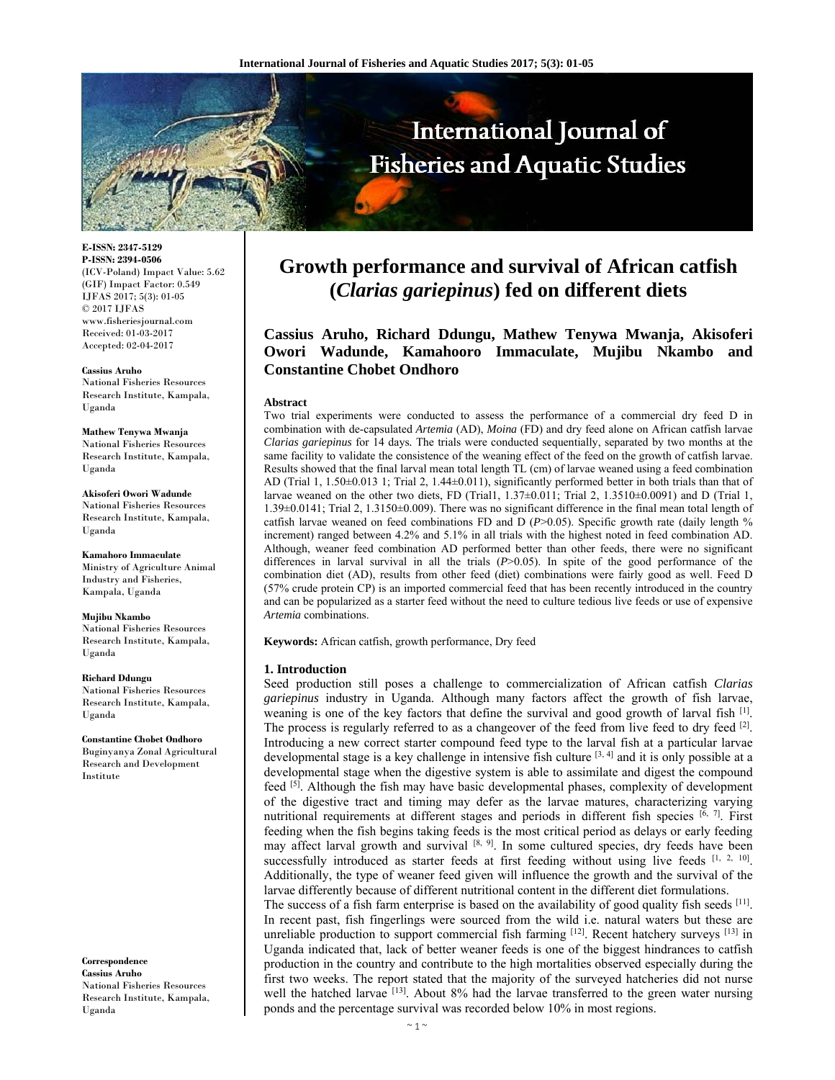

**E-ISSN: 2347-5129 P-ISSN: 2394-0506**  (ICV-Poland) Impact Value: 5.62 (GIF) Impact Factor: 0.549 IJFAS 2017; 5(3): 01-05 © 2017 IJFAS www.fisheriesjournal.com Received: 01-03-2017 Accepted: 02-04-2017

**Cassius Aruho**  National Fisheries Resources Research Institute, Kampala, Uganda

**Mathew Tenywa Mwanja**  National Fisheries Resources Research Institute, Kampala, Uganda

**Akisoferi Owori Wadunde**  National Fisheries Resources Research Institute, Kampala, Uganda

**Kamahoro Immaculate**  Ministry of Agriculture Animal Industry and Fisheries, Kampala, Uganda

**Mujibu Nkambo**  National Fisheries Resources Research Institute, Kampala, Uganda

**Richard Ddungu**  National Fisheries Resources Research Institute, Kampala, Uganda

**Constantine Chobet Ondhoro**  Buginyanya Zonal Agricultural Research and Development Institute

**Correspondence Cassius Aruho**  National Fisheries Resources Research Institute, Kampala, Uganda

# **Growth performance and survival of African catfish (***Clarias gariepinus***) fed on different diets**

**Cassius Aruho, Richard Ddungu, Mathew Tenywa Mwanja, Akisoferi Owori Wadunde, Kamahooro Immaculate, Mujibu Nkambo and Constantine Chobet Ondhoro** 

#### **Abstract**

Two trial experiments were conducted to assess the performance of a commercial dry feed D in combination with de-capsulated *Artemia* (AD), *Moina* (FD) and dry feed alone on African catfish larvae *Clarias gariepinus* for 14 days*.* The trials were conducted sequentially, separated by two months at the same facility to validate the consistence of the weaning effect of the feed on the growth of catfish larvae. Results showed that the final larval mean total length TL (cm) of larvae weaned using a feed combination AD (Trial 1, 1.50±0.013 1; Trial 2, 1.44±0.011), significantly performed better in both trials than that of larvae weaned on the other two diets, FD (Trial1,  $1.37\pm0.011$ ; Trial 2,  $1.3510\pm0.0091$ ) and D (Trial 1, 1.39±0.0141; Trial 2, 1.3150±0.009). There was no significant difference in the final mean total length of catfish larvae weaned on feed combinations FD and D (*P*>0.05). Specific growth rate (daily length % increment) ranged between 4.2% and 5.1% in all trials with the highest noted in feed combination AD. Although, weaner feed combination AD performed better than other feeds, there were no significant differences in larval survival in all the trials ( $P$ >0.05). In spite of the good performance of the combination diet (AD), results from other feed (diet) combinations were fairly good as well. Feed D (57% crude protein CP) is an imported commercial feed that has been recently introduced in the country and can be popularized as a starter feed without the need to culture tedious live feeds or use of expensive *Artemia* combinations.

**Keywords:** African catfish, growth performance, Dry feed

## **1. Introduction**

Seed production still poses a challenge to commercialization of African catfish *Clarias gariepinus* industry in Uganda. Although many factors affect the growth of fish larvae, weaning is one of the key factors that define the survival and good growth of larval fish [1]. The process is regularly referred to as a changeover of the feed from live feed to dry feed <sup>[2]</sup>. Introducing a new correct starter compound feed type to the larval fish at a particular larvae developmental stage is a key challenge in intensive fish culture  $[3, 4]$  and it is only possible at a developmental stage when the digestive system is able to assimilate and digest the compound feed <sup>[5]</sup>. Although the fish may have basic developmental phases, complexity of development of the digestive tract and timing may defer as the larvae matures, characterizing varying nutritional requirements at different stages and periods in different fish species  $\left[\overline{6}, 7\right]$ . First feeding when the fish begins taking feeds is the most critical period as delays or early feeding may affect larval growth and survival  $[8, 9]$ . In some cultured species, dry feeds have been successfully introduced as starter feeds at first feeding without using live feeds [1, 2, 10]. Additionally, the type of weaner feed given will influence the growth and the survival of the larvae differently because of different nutritional content in the different diet formulations. The success of a fish farm enterprise is based on the availability of good quality fish seeds  $[11]$ . In recent past, fish fingerlings were sourced from the wild i.e. natural waters but these are unreliable production to support commercial fish farming [12]. Recent hatchery surveys [13] in Uganda indicated that, lack of better weaner feeds is one of the biggest hindrances to catfish production in the country and contribute to the high mortalities observed especially during the first two weeks. The report stated that the majority of the surveyed hatcheries did not nurse

well the hatched larvae  $[13]$ . About 8% had the larvae transferred to the green water nursing

ponds and the percentage survival was recorded below 10% in most regions.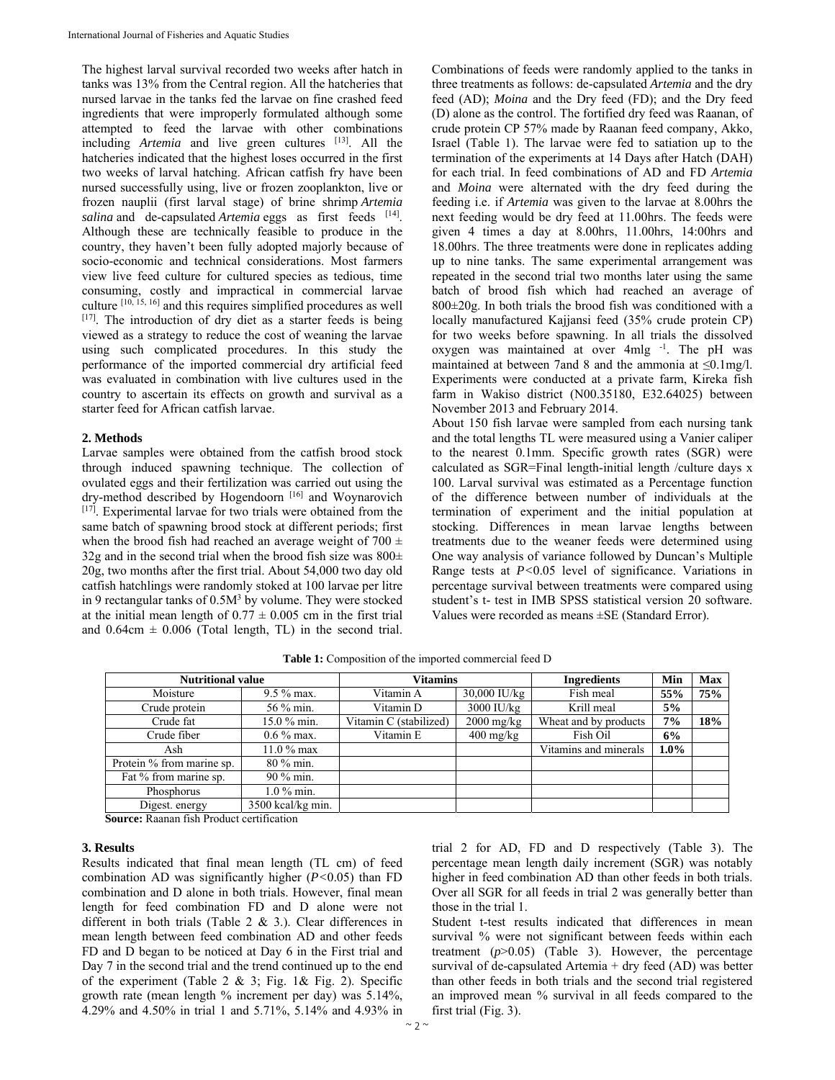The highest larval survival recorded two weeks after hatch in tanks was 13% from the Central region. All the hatcheries that nursed larvae in the tanks fed the larvae on fine crashed feed ingredients that were improperly formulated although some attempted to feed the larvae with other combinations including *Artemia* and live green cultures <sup>[13]</sup>. All the hatcheries indicated that the highest loses occurred in the first two weeks of larval hatching. African catfish fry have been nursed successfully using, live or frozen zooplankton, live or frozen nauplii (first larval stage) of brine shrimp *Artemia salina* and de-capsulated *Artemia* eggs as first feeds [14]. Although these are technically feasible to produce in the country, they haven't been fully adopted majorly because of socio-economic and technical considerations. Most farmers view live feed culture for cultured species as tedious, time consuming, costly and impractical in commercial larvae culture [10, 15, 16] and this requires simplified procedures as well  $[17]$ . The introduction of dry diet as a starter feeds is being viewed as a strategy to reduce the cost of weaning the larvae using such complicated procedures. In this study the performance of the imported commercial dry artificial feed was evaluated in combination with live cultures used in the country to ascertain its effects on growth and survival as a starter feed for African catfish larvae.

#### **2. Methods**

Larvae samples were obtained from the catfish brood stock through induced spawning technique. The collection of ovulated eggs and their fertilization was carried out using the dry-method described by Hogendoorn<sup>[16]</sup> and Woynarovich [17]. Experimental larvae for two trials were obtained from the same batch of spawning brood stock at different periods; first when the brood fish had reached an average weight of 700  $\pm$ 32g and in the second trial when the brood fish size was  $800\pm$ 20g, two months after the first trial. About 54,000 two day old catfish hatchlings were randomly stoked at 100 larvae per litre in 9 rectangular tanks of  $0.5M<sup>3</sup>$  by volume. They were stocked at the initial mean length of  $0.77 \pm 0.005$  cm in the first trial and  $0.64cm \pm 0.006$  (Total length, TL) in the second trial.

Combinations of feeds were randomly applied to the tanks in three treatments as follows: de-capsulated *Artemia* and the dry feed (AD); *Moina* and the Dry feed (FD); and the Dry feed (D) alone as the control. The fortified dry feed was Raanan, of crude protein CP 57% made by Raanan feed company, Akko, Israel (Table 1). The larvae were fed to satiation up to the termination of the experiments at 14 Days after Hatch (DAH) for each trial. In feed combinations of AD and FD *Artemia* and *Moina* were alternated with the dry feed during the feeding i.e. if *Artemia* was given to the larvae at 8.00hrs the next feeding would be dry feed at 11.00hrs. The feeds were given 4 times a day at 8.00hrs, 11.00hrs, 14:00hrs and 18.00hrs. The three treatments were done in replicates adding up to nine tanks. The same experimental arrangement was repeated in the second trial two months later using the same batch of brood fish which had reached an average of  $800\pm20$ g. In both trials the brood fish was conditioned with a locally manufactured Kajjansi feed (35% crude protein CP) for two weeks before spawning. In all trials the dissolved oxygen was maintained at over 4mlg <sup>-1</sup>. The pH was maintained at between 7and 8 and the ammonia at ≤0.1mg/l. Experiments were conducted at a private farm, Kireka fish farm in Wakiso district (N00.35180, E32.64025) between November 2013 and February 2014.

About 150 fish larvae were sampled from each nursing tank and the total lengths TL were measured using a Vanier caliper to the nearest 0.1mm. Specific growth rates (SGR) were calculated as SGR=Final length-initial length /culture days x 100. Larval survival was estimated as a Percentage function of the difference between number of individuals at the termination of experiment and the initial population at stocking. Differences in mean larvae lengths between treatments due to the weaner feeds were determined using One way analysis of variance followed by Duncan's Multiple Range tests at *P<*0.05 level of significance. Variations in percentage survival between treatments were compared using student's t- test in IMB SPSS statistical version 20 software. Values were recorded as means ±SE (Standard Error).

| <b>Nutritional value</b>  |                   | <b>Vitamins</b>        |                                   | <b>Ingredients</b>    | Min     | <b>Max</b> |
|---------------------------|-------------------|------------------------|-----------------------------------|-----------------------|---------|------------|
| Moisture                  | $9.5\%$ max.      | Vitamin A              | $30,000$ IU/kg                    | Fish meal             | 55%     | 75%        |
| Crude protein             | 56 % min.         | Vitamin D              | 3000 IU/kg                        | Krill meal            | 5%      |            |
| Crude fat                 | 15.0 % min.       | Vitamin C (stabilized) | $2000$ mg/kg                      | Wheat and by products | 7%      | 18%        |
| Crude fiber               | $0.6\%$ max.      | Vitamin E              | $400 \frac{\text{mg}}{\text{kg}}$ | Fish Oil              | 6%      |            |
| Ash                       | $11.0\%$ max      |                        |                                   | Vitamins and minerals | $1.0\%$ |            |
| Protein % from marine sp. | 80 % min.         |                        |                                   |                       |         |            |
| Fat % from marine sp.     | $90\%$ min.       |                        |                                   |                       |         |            |
| Phosphorus                | $1.0\%$ min.      |                        |                                   |                       |         |            |
| Digest. energy            | 3500 kcal/kg min. |                        |                                   |                       |         |            |

**Table 1:** Composition of the imported commercial feed D

**Source:** Raanan fish Product certification

## **3. Results**

Results indicated that final mean length (TL cm) of feed combination AD was significantly higher (*P<*0.05) than FD combination and D alone in both trials. However, final mean length for feed combination FD and D alone were not different in both trials (Table 2 & 3.). Clear differences in mean length between feed combination AD and other feeds FD and D began to be noticed at Day 6 in the First trial and Day 7 in the second trial and the trend continued up to the end of the experiment (Table 2 & 3; Fig. 1& Fig. 2). Specific growth rate (mean length % increment per day) was 5.14%, 4.29% and 4.50% in trial 1 and 5.71%, 5.14% and 4.93% in trial 2 for AD, FD and D respectively (Table 3). The percentage mean length daily increment (SGR) was notably higher in feed combination AD than other feeds in both trials. Over all SGR for all feeds in trial 2 was generally better than those in the trial 1.

Student t-test results indicated that differences in mean survival % were not significant between feeds within each treatment (*p*>0.05) (Table 3). However, the percentage survival of de-capsulated Artemia + dry feed (AD) was better than other feeds in both trials and the second trial registered an improved mean % survival in all feeds compared to the first trial (Fig. 3).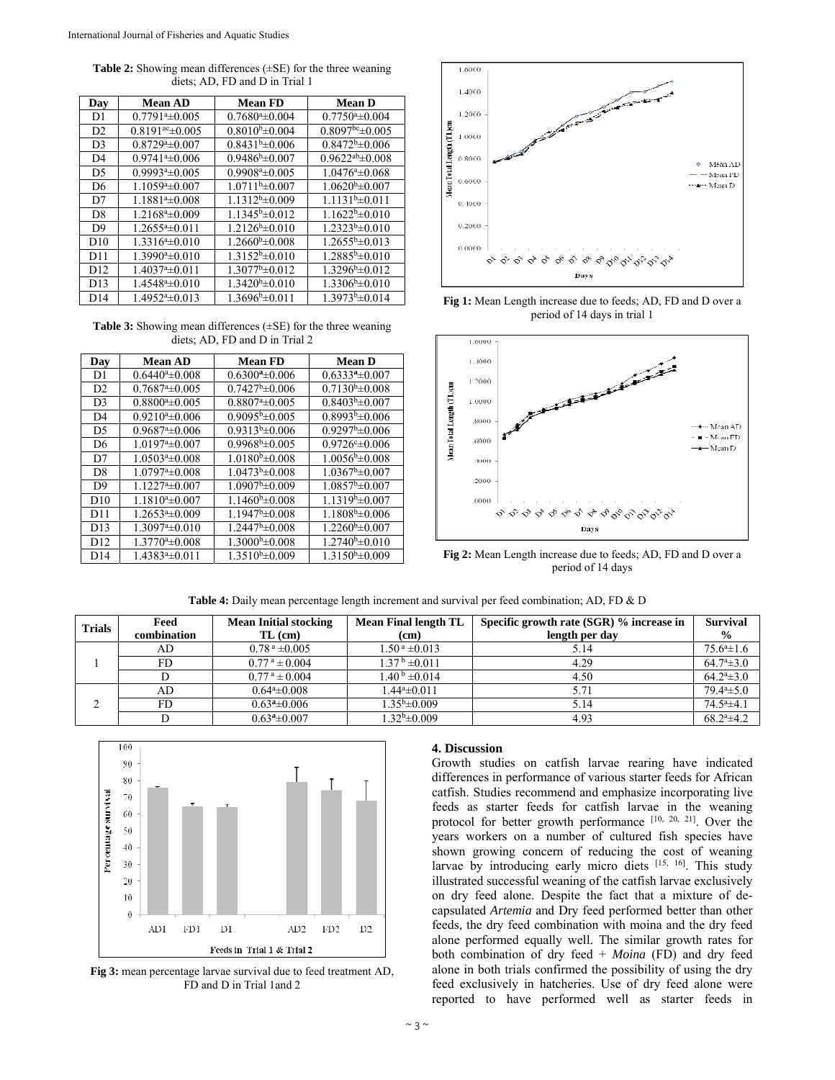**Table 2:** Showing mean differences (±SE) for the three weaning diets; AD, FD and D in Trial 1

| Day             | <b>Mean AD</b>                     | <b>Mean FD</b>                | <b>Mean D</b>           |
|-----------------|------------------------------------|-------------------------------|-------------------------|
| D1              | $0.7791^{\mathrm{a}}\pm0.005$      | $0.7680a \pm 0.004$           | $0.7750a \pm 0.004$     |
| D2              | $0.8191$ <sup>ac</sup> $\pm 0.005$ | $0.8010^{b} \pm 0.004$        | $0.8097$ bc $\pm 0.005$ |
| D <sub>3</sub>  | $0.8729^a \pm 0.007$               | $0.8431^{b} \pm 0.006$        | $0.8472^b \pm 0.006$    |
| D4              | $0.9741^{\mathrm{a}}\pm0.006$      | $0.9486^{b} \pm 0.007$        | $0.9622^{ab} \pm 0.008$ |
| D <sub>5</sub>  | $0.9993^a \pm 0.005$               | $0.9908^{\mathrm{a}}\pm0.005$ | $1.0476a \pm 0.068$     |
| D <sub>6</sub>  | $1.1059a \pm 0.007$                | $1.0711b\pm0.007$             | $1.0620^{b} \pm 0.007$  |
| D7              | $1.1881^a \pm 0.008$               | $1.1312^{b} \pm 0.009$        | $1.1131^b \pm 0.011$    |
| D <sub>8</sub>  | $1.2168^a \pm 0.009$               | $1.1345^b \pm 0.012$          | $1.1622^{b} \pm 0.010$  |
| D <sub>9</sub>  | $1.2655a \pm 0.011$                | $1.2126^{b} \pm 0.010$        | $1.2323^{b} \pm 0.010$  |
| D10             | $1.3316a \pm 0.010$                | $1.2660^{\rm b} \pm 0.008$    | $1.2655^b \pm 0.013$    |
| D11             | $1.3990^a \pm 0.010$               | $1.3152b\pm 0.010$            | $1.2885^{b} \pm 0.010$  |
| D12             | $1.4037^{\mathrm{a}}\pm0.011$      | $1.3077^b \pm 0.012$          | $1.3296^b \pm 0.012$    |
| D <sub>13</sub> | $1.4548^a \pm 0.010$               | $1.3420^b \pm 0.010$          | $1.3306^b \pm 0.010$    |
| D <sub>14</sub> | $1.4952a_{\pm}0.013$               | $1.3696b\pm0.011$             | $1.3973b\pm0.014$       |

**Table 3:** Showing mean differences (±SE) for the three weaning diets; AD, FD and D in Trial 2

| Day             | <b>Mean AD</b>                | <b>Mean FD</b>                | <b>Mean D</b>                 |
|-----------------|-------------------------------|-------------------------------|-------------------------------|
| D1              | $0.6440^a \pm 0.008$          | $0.6300^a \pm 0.006$          | $0.6333^{a} \pm 0.007$        |
| D2              | $0.7687a_{\pm}0.005$          | $0.7427^b \pm 0.006$          | $0.7130^{b} \pm 0.008$        |
| D <sub>3</sub>  | $0.8800^{\mathrm{a}}\pm0.005$ | $0.8807a_{0.005}$             | $0.8403b\pm0.007$             |
| D <sub>4</sub>  | $0.9210^{a} \pm 0.006$        | $0.9095^{b} \pm 0.005$        | $0.8993^{b} \pm 0.006$        |
| D <sub>5</sub>  | $0.9687^{\mathrm{a}}\pm0.006$ | $0.9313^{b} \pm 0.006$        | $0.9297^b \pm 0.006$          |
| D <sub>6</sub>  | $1.0197a_{\pm}0.007$          | $0.9968b \pm 0.005$           | $0.9726e \pm 0.006$           |
| D7              | $1.0503a_{\pm}0.008$          | $1.0180^{b} \pm 0.008$        | $1.0056^{\mathrm{b}}\pm0.008$ |
| D <sub>8</sub>  | $1.0797^{\mathrm{a}}\pm0.008$ | $1.0473^{b} \pm 0.008$        | $1.0367^b \pm 0.007$          |
| D <sup>9</sup>  | $1.1227^{\mathrm{a}}\pm0.007$ | $1.0907^b \pm 0.009$          | $1.0857^b \pm 0.007$          |
| D10             | $1.1810^{a} \pm 0.007$        | $1.1460^{\mathrm{b}}\pm0.008$ | $1.1319b\pm0.007$             |
| D11             | $1.2653^{\mathrm{a}}\pm0.009$ | $1.1947^b \pm 0.008$          | $1.1808b\pm0.006$             |
| D <sub>13</sub> | $1.3097^{\mathrm{a}}\pm0.010$ | $1.2447^b \pm 0.008$          | $1.2260^b \pm 0.007$          |
| D12             | $1.3770^a \pm 0.008$          | $1.3000b\pm0.008$             | $1.2740^{\mathrm{b}}\pm0.010$ |
| D14             | $1.4383^a \pm 0.011$          | $1.3510^{b} \pm 0.009$        | $1.3150^{b} \pm 0.009$        |



**Fig 1:** Mean Length increase due to feeds; AD, FD and D over a period of 14 days in trial 1



**Fig 2:** Mean Length increase due to feeds; AD, FD and D over a period of 14 days

| <b>Trials</b> | Feed<br>combination | <b>Mean Initial stocking</b><br>TL (cm) | Mean Final length TL<br>(cm) | Specific growth rate (SGR) % increase in<br>length per day | <b>Survival</b><br>$\frac{6}{9}$ |
|---------------|---------------------|-----------------------------------------|------------------------------|------------------------------------------------------------|----------------------------------|
|               | AD                  | $0.78^{\text{ a}}\pm 0.005$             | $1.50^{\text{ a}}\pm 0.013$  | 5.14                                                       | $75.6^{\circ}$ ± 1.6             |
|               | FD.                 | $0.77^{\text{ a}} \pm 0.004$            | $1.37^{\mathrm{b}}$ ±0.011   | 4.29                                                       | $64.7^{\mathrm{a}}\pm3.0$        |
|               |                     | $0.77^{\text{ a}} \pm 0.004$            | $1.40^{\mathrm{b}}$ ±0.014   | 4.50                                                       | $64.2^{\mathrm{a}}\pm3.0$        |
| ◠<br>∠        | AD                  | $0.64*+0.008$                           | $1.44^a \pm 0.011$           | 5.71                                                       | $79.4a + 5.0$                    |
|               | FD.                 | $0.63^{\mathrm{a}}\pm0.006$             | $1.35^{\rm b} \pm 0.009$     | 5.14                                                       | $74.5a_{\pm}4.1$                 |
|               |                     | $0.63^a \pm 0.007$                      | $1.32^b \pm 0.009$           | 4.93                                                       | $68.2^{\mathrm{a}}\pm4.2$        |



**Fig 3:** mean percentage larvae survival due to feed treatment AD, FD and D in Trial 1and 2

# **4. Discussion**

Growth studies on catfish larvae rearing have indicated differences in performance of various starter feeds for African catfish. Studies recommend and emphasize incorporating live feeds as starter feeds for catfish larvae in the weaning protocol for better growth performance  $[10, 20, 21]$ . Over the years workers on a number of cultured fish species have shown growing concern of reducing the cost of weaning larvae by introducing early micro diets [15, 16]. This study illustrated successful weaning of the catfish larvae exclusively on dry feed alone. Despite the fact that a mixture of decapsulated *Artemia* and Dry feed performed better than other feeds, the dry feed combination with moina and the dry feed alone performed equally well. The similar growth rates for both combination of dry feed + *Moina* (FD) and dry feed alone in both trials confirmed the possibility of using the dry feed exclusively in hatcheries. Use of dry feed alone were reported to have performed well as starter feeds in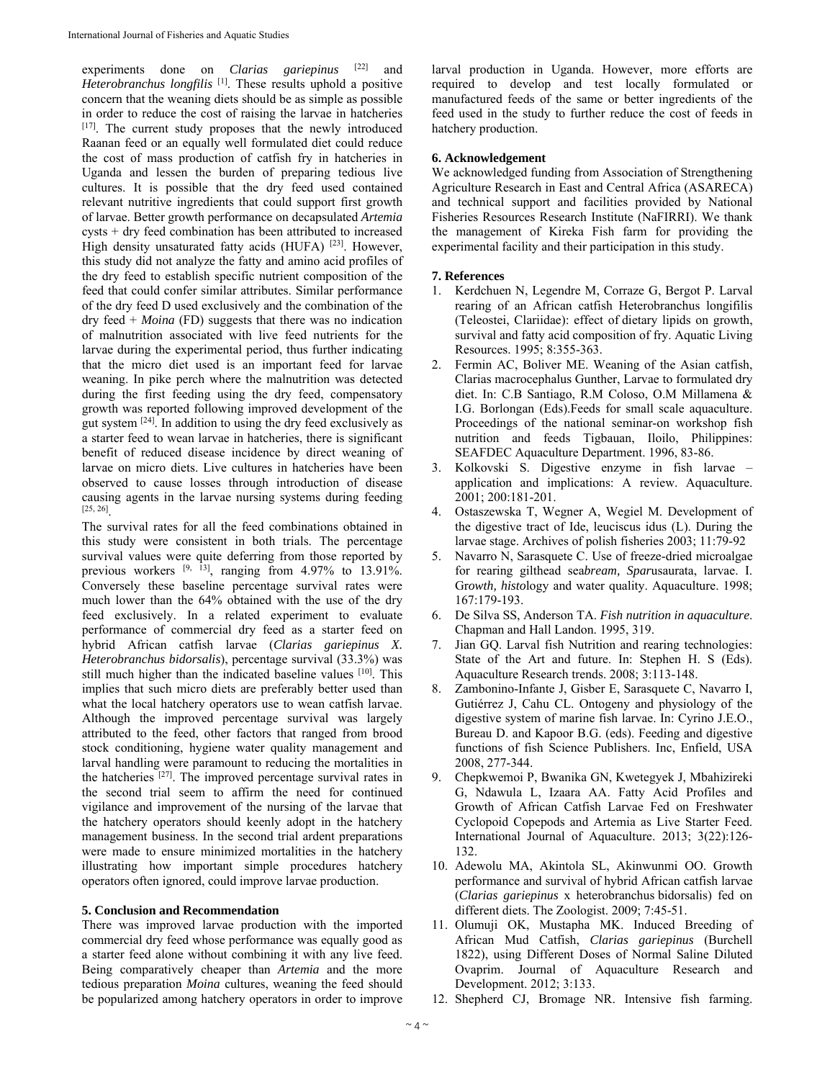experiments done on *Clarias gariepinus* [22] and *Heterobranchus longfilis* <sup>[1]</sup>. These results uphold a positive concern that the weaning diets should be as simple as possible in order to reduce the cost of raising the larvae in hatcheries [17]. The current study proposes that the newly introduced Raanan feed or an equally well formulated diet could reduce the cost of mass production of catfish fry in hatcheries in Uganda and lessen the burden of preparing tedious live cultures. It is possible that the dry feed used contained relevant nutritive ingredients that could support first growth of larvae. Better growth performance on decapsulated *Artemia*  cysts + dry feed combination has been attributed to increased High density unsaturated fatty acids (HUFA) [23]. However, this study did not analyze the fatty and amino acid profiles of the dry feed to establish specific nutrient composition of the feed that could confer similar attributes. Similar performance of the dry feed D used exclusively and the combination of the dry feed + *Moina* (FD) suggests that there was no indication of malnutrition associated with live feed nutrients for the larvae during the experimental period, thus further indicating that the micro diet used is an important feed for larvae weaning. In pike perch where the malnutrition was detected during the first feeding using the dry feed, compensatory growth was reported following improved development of the gut system  $[24]$ . In addition to using the dry feed exclusively as a starter feed to wean larvae in hatcheries, there is significant benefit of reduced disease incidence by direct weaning of larvae on micro diets. Live cultures in hatcheries have been observed to cause losses through introduction of disease causing agents in the larvae nursing systems during feeding [25, 26].

The survival rates for all the feed combinations obtained in this study were consistent in both trials. The percentage survival values were quite deferring from those reported by previous workers  $[9, 13]$ , ranging from 4.97% to 13.91%. Conversely these baseline percentage survival rates were much lower than the 64% obtained with the use of the dry feed exclusively. In a related experiment to evaluate performance of commercial dry feed as a starter feed on hybrid African catfish larvae (*Clarias gariepinus X. Heterobranchus bidorsalis*), percentage survival (33.3%) was still much higher than the indicated baseline values [10]. This implies that such micro diets are preferably better used than what the local hatchery operators use to wean catfish larvae. Although the improved percentage survival was largely attributed to the feed, other factors that ranged from brood stock conditioning, hygiene water quality management and larval handling were paramount to reducing the mortalities in the hatcheries [27]. The improved percentage survival rates in the second trial seem to affirm the need for continued vigilance and improvement of the nursing of the larvae that the hatchery operators should keenly adopt in the hatchery management business. In the second trial ardent preparations were made to ensure minimized mortalities in the hatchery illustrating how important simple procedures hatchery operators often ignored, could improve larvae production.

## **5. Conclusion and Recommendation**

There was improved larvae production with the imported commercial dry feed whose performance was equally good as a starter feed alone without combining it with any live feed. Being comparatively cheaper than *Artemia* and the more tedious preparation *Moina* cultures, weaning the feed should be popularized among hatchery operators in order to improve

larval production in Uganda. However, more efforts are required to develop and test locally formulated or manufactured feeds of the same or better ingredients of the feed used in the study to further reduce the cost of feeds in hatchery production.

## **6. Acknowledgement**

We acknowledged funding from Association of Strengthening Agriculture Research in East and Central Africa (ASARECA) and technical support and facilities provided by National Fisheries Resources Research Institute (NaFIRRI). We thank the management of Kireka Fish farm for providing the experimental facility and their participation in this study.

#### **7. References**

- 1. Kerdchuen N, Legendre M, Corraze G, Bergot P. Larval rearing of an African catfish Heterobranchus longifilis (Teleostei, Clariidae): effect of dietary lipids on growth, survival and fatty acid composition of fry. Aquatic Living Resources. 1995; 8:355-363.
- 2. Fermin AC, Boliver ME. Weaning of the Asian catfish, Clarias macrocephalus Gunther, Larvae to formulated dry diet. In: C.B Santiago, R.M Coloso, O.M Millamena & I.G. Borlongan (Eds).Feeds for small scale aquaculture. Proceedings of the national seminar-on workshop fish nutrition and feeds Tigbauan, Iloilo, Philippines: SEAFDEC Aquaculture Department. 1996, 83-86.
- 3. Kolkovski S. Digestive enzyme in fish larvae application and implications: A review. Aquaculture. 2001; 200:181-201.
- 4. Ostaszewska T, Wegner A, Wegiel M. Development of the digestive tract of Ide, leuciscus idus (L). During the larvae stage. Archives of polish fisheries 2003; 11:79-92
- 5. Navarro N, Sarasquete C. Use of freeze-dried microalgae for rearing gilthead sea*bream, Spar*usaurata, larvae. I. Gr*owth, histo*logy and water quality. Aquaculture. 1998; 167:179-193.
- 6. De Silva SS, Anderson TA. *Fish nutrition in aquaculture*. Chapman and Hall Landon. 1995, 319.
- 7. Jian GQ. Larval fish Nutrition and rearing technologies: State of the Art and future. In: Stephen H. S (Eds). Aquaculture Research trends. 2008; 3:113-148.
- 8. Zambonino-Infante J, Gisber E, Sarasquete C, Navarro I, Gutiérrez J, Cahu CL. Ontogeny and physiology of the digestive system of marine fish larvae. In: Cyrino J.E.O., Bureau D. and Kapoor B.G. (eds). Feeding and digestive functions of fish Science Publishers. Inc, Enfield, USA 2008, 277-344.
- 9. Chepkwemoi P, Bwanika GN, Kwetegyek J, Mbahizireki G, Ndawula L, Izaara AA. Fatty Acid Profiles and Growth of African Catfish Larvae Fed on Freshwater Cyclopoid Copepods and Artemia as Live Starter Feed. International Journal of Aquaculture. 2013; 3(22):126- 132.
- 10. Adewolu MA, Akintola SL, Akinwunmi OO. Growth performance and survival of hybrid African catfish larvae (*Clarias gariepinus* x heterobranchus bidorsalis) fed on different diets. The Zoologist. 2009; 7:45-51.
- 11. Olumuji OK, Mustapha MK. Induced Breeding of African Mud Catfish, *Clarias gariepinus* (Burchell 1822), using Different Doses of Normal Saline Diluted Ovaprim. Journal of Aquaculture Research and Development. 2012; 3:133.
- 12. Shepherd CJ, Bromage NR. Intensive fish farming.